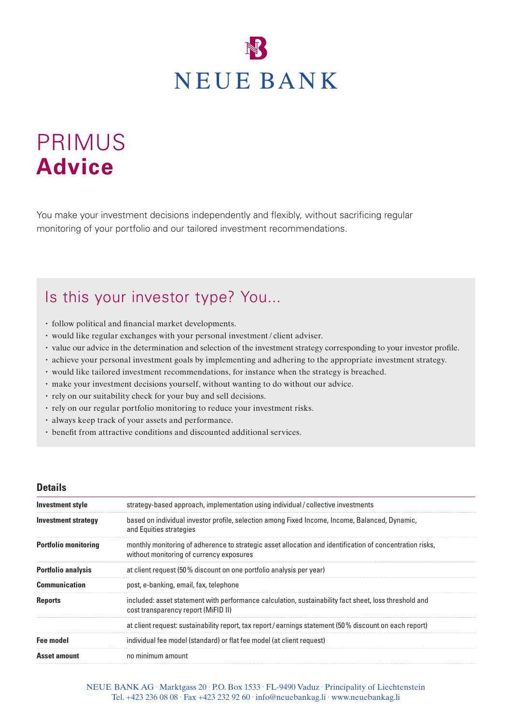

# PRIMUS **Advice**

You make your investment decisions independently and flexibly, without sacrificing regular monitoring of your portfolio and our tailored investment recommendations.

## Is this your investor type? You...

- follow political and financial market developments.
- would like regular exchanges with your personal investment / client adviser.
- value our advice in the determination and selection of the investment strategy corresponding to your investor profile.
- achieve your personal investment goals by implementing and adhering to the appropriate investment strategy.
- would like tailored investment recommendations, for instance when the strategy is breached.
- make your investment decisions yourself, without wanting to do without our advice.
- rely on our suitability check for your buy and sell decisions.
- rely on our regular portfolio monitoring to reduce your investment risks.
- always keep track of your assets and performance.
- benefit from attractive conditions and discounted additional services.

#### **Details**

| <b>Investment style</b>     | strategy-based approach, implementation using individual/collective investments                                                                      |  |
|-----------------------------|------------------------------------------------------------------------------------------------------------------------------------------------------|--|
| Investment strategy         | based on individual investor profile, selection among Fixed Income, Income, Balanced, Dynamic,<br>and Equities strategies                            |  |
| <b>Portfolio monitoring</b> | monthly monitoring of adherence to strategic asset allocation and identification of concentration risks,<br>without monitoring of currency exposures |  |
| <b>Portfolio analysis</b>   | at client request (50% discount on one portfolio analysis per year)                                                                                  |  |
| <b>Communication</b>        | post, e-banking, email, fax, telephone                                                                                                               |  |
| <b>Reports</b>              | included: asset statement with performance calculation, sustainability fact sheet, loss threshold and<br>cost transparency report (MiFID II)         |  |
|                             | at client request: sustainability report, tax report/earnings statement (50% discount on each report)                                                |  |
| <b>Fee model</b>            | individual fee model (standard) or flat fee model (at client request)                                                                                |  |
| <b>Asset amount</b>         | no minimum amount                                                                                                                                    |  |